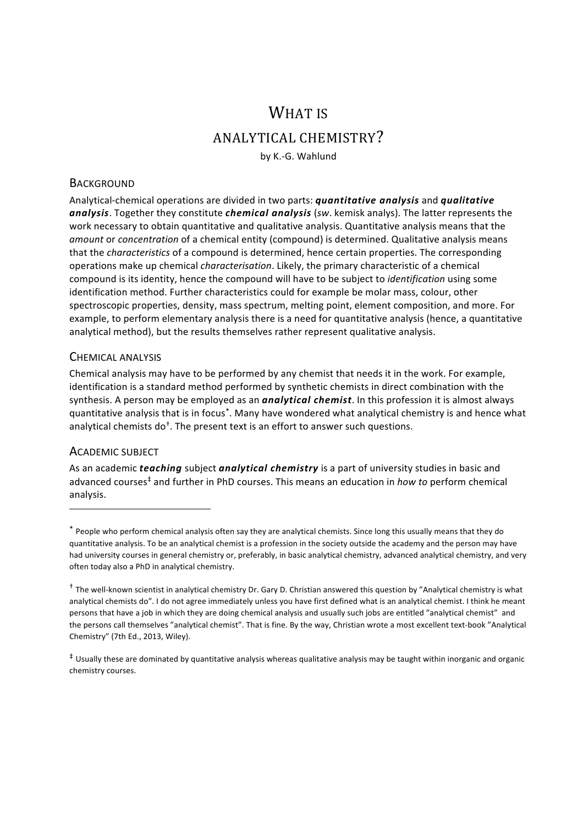# WHAT IS ANALYTICAL CHEMISTRY?

by K.-G. Wahlund

#### **BACKGROUND**

Analytical-chemical operations are divided in two parts: *quantitative analysis* and *qualitative* analysis. Together they constitute *chemical analysis* (*sw.* kemisk analys). The latter represents the work necessary to obtain quantitative and qualitative analysis. Quantitative analysis means that the *amount* or *concentration* of a chemical entity (compound) is determined. Qualitative analysis means that the *characteristics* of a compound is determined, hence certain properties. The corresponding operations make up chemical *characterisation*. Likely, the primary characteristic of a chemical compound is its identity, hence the compound will have to be subject to *identification* using some identification method. Further characteristics could for example be molar mass, colour, other spectroscopic properties, density, mass spectrum, melting point, element composition, and more. For example, to perform elementary analysis there is a need for quantitative analysis (hence, a quantitative analytical method), but the results themselves rather represent qualitative analysis.

#### CHEMICAL ANALYSIS

Chemical analysis may have to be performed by any chemist that needs it in the work. For example, identification is a standard method performed by synthetic chemists in direct combination with the synthesis. A person may be employed as an *analytical chemist*. In this profession it is almost always quantitative analysis that is in focus<sup>\*</sup>. Many have wondered what analytical chemistry is and hence what analytical chemists  $d\sigma^{\dagger}$ . The present text is an effort to answer such questions.

#### ACADEMIC SUBJECT

<u> 1989 - Johann Stein, fransk politik (d. 1989)</u>

As an academic *teaching* subject *analytical chemistry* is a part of university studies in basic and advanced courses<sup>‡</sup> and further in PhD courses. This means an education in *how to* perform chemical analysis.

<sup>\*</sup> People who perform chemical analysis often say they are analytical chemists. Since long this usually means that they do quantitative analysis. To be an analytical chemist is a profession in the society outside the academy and the person may have had university courses in general chemistry or, preferably, in basic analytical chemistry, advanced analytical chemistry, and very often today also a PhD in analytical chemistry.

 $^{\dagger}$  The well-known scientist in analytical chemistry Dr. Gary D. Christian answered this question by "Analytical chemistry is what analytical chemists do". I do not agree immediately unless you have first defined what is an analytical chemist. I think he meant persons that have a job in which they are doing chemical analysis and usually such jobs are entitled "analytical chemist" and the persons call themselves "analytical chemist". That is fine. By the way, Christian wrote a most excellent text-book "Analytical Chemistry" (7th Ed., 2013, Wiley).

 $*$  Usually these are dominated by quantitative analysis whereas qualitative analysis may be taught within inorganic and organic chemistry courses.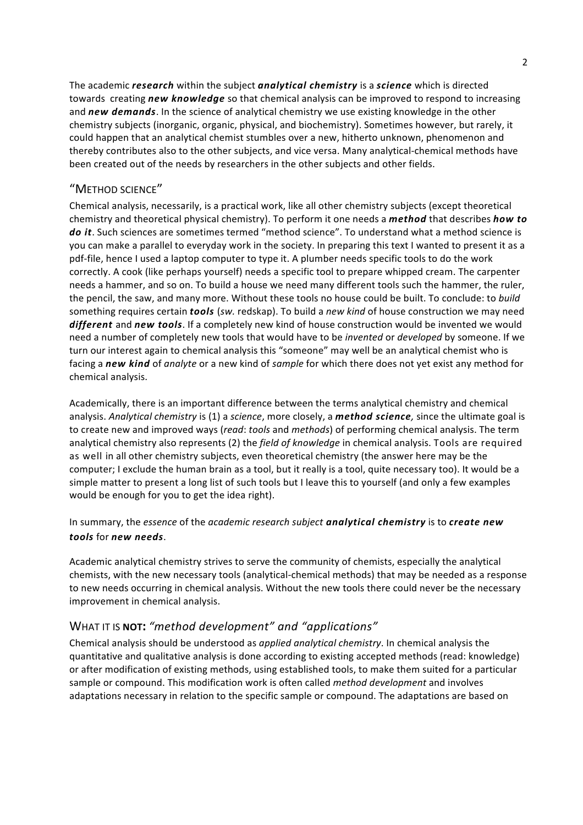The academic *research* within the subject *analytical chemistry* is a *science* which is directed towards creating *new knowledge* so that chemical analysis can be improved to respond to increasing and *new demands*. In the science of analytical chemistry we use existing knowledge in the other chemistry subjects (inorganic, organic, physical, and biochemistry). Sometimes however, but rarely, it could happen that an analytical chemist stumbles over a new, hitherto unknown, phenomenon and thereby contributes also to the other subjects, and vice versa. Many analytical-chemical methods have been created out of the needs by researchers in the other subjects and other fields.

### "METHOD SCIENCE"

Chemical analysis, necessarily, is a practical work, like all other chemistry subjects (except theoretical chemistry and theoretical physical chemistry). To perform it one needs a *method* that describes *how to* do *it*. Such sciences are sometimes termed "method science". To understand what a method science is you can make a parallel to everyday work in the society. In preparing this text I wanted to present it as a pdf-file, hence I used a laptop computer to type it. A plumber needs specific tools to do the work correctly. A cook (like perhaps yourself) needs a specific tool to prepare whipped cream. The carpenter needs a hammer, and so on. To build a house we need many different tools such the hammer, the ruler, the pencil, the saw, and many more. Without these tools no house could be built. To conclude: to *build* something requires certain **tools** (*sw.* redskap). To build a *new kind* of house construction we may need different and new tools. If a completely new kind of house construction would be invented we would need a number of completely new tools that would have to be *invented* or *developed* by someone. If we turn our interest again to chemical analysis this "someone" may well be an analytical chemist who is facing a new kind of *analyte* or a new kind of *sample* for which there does not yet exist any method for chemical analysis.

Academically, there is an important difference between the terms analytical chemistry and chemical analysis. Analytical chemistry is (1) a science, more closely, a *method science*, since the ultimate goal is to create new and improved ways (*read: tools* and *methods*) of performing chemical analysis. The term analytical chemistry also represents (2) the *field of knowledge* in chemical analysis. Tools are required as well in all other chemistry subjects, even theoretical chemistry (the answer here may be the computer; I exclude the human brain as a tool, but it really is a tool, quite necessary too). It would be a simple matter to present a long list of such tools but I leave this to yourself (and only a few examples would be enough for you to get the idea right).

## In summary, the *essence* of the *academic research subject* **analytical chemistry** is to **create new** *tools* for *new needs*.

Academic analytical chemistry strives to serve the community of chemists, especially the analytical chemists, with the new necessary tools (analytical-chemical methods) that may be needed as a response to new needs occurring in chemical analysis. Without the new tools there could never be the necessary improvement in chemical analysis.

# WHAT IT IS NOT: "method development" and "applications"

Chemical analysis should be understood as *applied analytical chemistry*. In chemical analysis the quantitative and qualitative analysis is done according to existing accepted methods (read: knowledge) or after modification of existing methods, using established tools, to make them suited for a particular sample or compound. This modification work is often called *method development* and involves adaptations necessary in relation to the specific sample or compound. The adaptations are based on